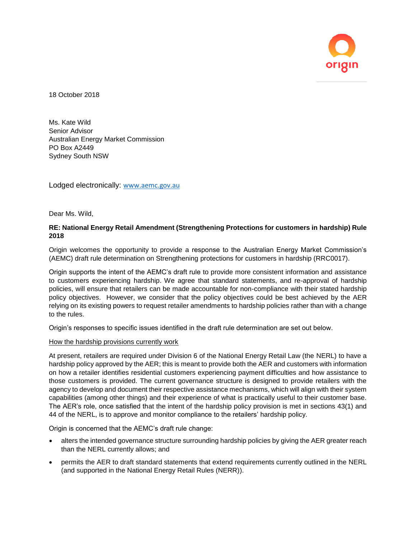

18 October 2018

Ms. Kate Wild Senior Advisor Australian Energy Market Commission PO Box A2449 Sydney South NSW

Lodged electronically: [www.aemc.gov.au](http://www.aemc.gov.au/)

Dear Ms. Wild,

# **RE: National Energy Retail Amendment (Strengthening Protections for customers in hardship) Rule 2018**

Origin welcomes the opportunity to provide a response to the Australian Energy Market Commission's (AEMC) draft rule determination on Strengthening protections for customers in hardship (RRC0017).

Origin supports the intent of the AEMC's draft rule to provide more consistent information and assistance to customers experiencing hardship. We agree that standard statements, and re-approval of hardship policies, will ensure that retailers can be made accountable for non-compliance with their stated hardship policy objectives. However, we consider that the policy objectives could be best achieved by the AER relying on its existing powers to request retailer amendments to hardship policies rather than with a change to the rules.

Origin's responses to specific issues identified in the draft rule determination are set out below.

#### How the hardship provisions currently work

At present, retailers are required under Division 6 of the National Energy Retail Law (the NERL) to have a hardship policy approved by the AER; this is meant to provide both the AER and customers with information on how a retailer identifies residential customers experiencing payment difficulties and how assistance to those customers is provided. The current governance structure is designed to provide retailers with the agency to develop and document their respective assistance mechanisms, which will align with their system capabilities (among other things) and their experience of what is practically useful to their customer base. The AER's role, once satisfied that the intent of the hardship policy provision is met in sections 43(1) and 44 of the NERL, is to approve and monitor compliance to the retailers' hardship policy.

Origin is concerned that the AEMC's draft rule change:

- alters the intended governance structure surrounding hardship policies by giving the AER greater reach than the NERL currently allows; and
- permits the AER to draft standard statements that extend requirements currently outlined in the NERL (and supported in the National Energy Retail Rules (NERR)).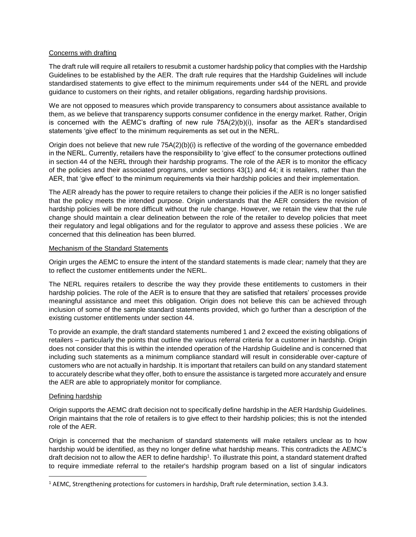## Concerns with drafting

The draft rule will require all retailers to resubmit a customer hardship policy that complies with the Hardship Guidelines to be established by the AER. The draft rule requires that the Hardship Guidelines will include standardised statements to give effect to the minimum requirements under s44 of the NERL and provide guidance to customers on their rights, and retailer obligations, regarding hardship provisions.

We are not opposed to measures which provide transparency to consumers about assistance available to them, as we believe that transparency supports consumer confidence in the energy market. Rather, Origin is concerned with the AEMC's drafting of new rule 75A(2)(b)(i), insofar as the AER's standardised statements 'give effect' to the minimum requirements as set out in the NERL.

Origin does not believe that new rule 75A(2)(b)(i) is reflective of the wording of the governance embedded in the NERL. Currently, retailers have the responsibility to 'give effect' to the consumer protections outlined in section 44 of the NERL through their hardship programs. The role of the AER is to monitor the efficacy of the policies and their associated programs, under sections 43(1) and 44; it is retailers, rather than the AER, that 'give effect' to the minimum requirements via their hardship policies and their implementation.

The AER already has the power to require retailers to change their policies if the AER is no longer satisfied that the policy meets the intended purpose. Origin understands that the AER considers the revision of hardship policies will be more difficult without the rule change. However, we retain the view that the rule change should maintain a clear delineation between the role of the retailer to develop policies that meet their regulatory and legal obligations and for the regulator to approve and assess these policies . We are concerned that this delineation has been blurred.

### Mechanism of the Standard Statements

Origin urges the AEMC to ensure the intent of the standard statements is made clear; namely that they are to reflect the customer entitlements under the NERL.

The NERL requires retailers to describe the way they provide these entitlements to customers in their hardship policies. The role of the AER is to ensure that they are satisfied that retailers' processes provide meaningful assistance and meet this obligation. Origin does not believe this can be achieved through inclusion of some of the sample standard statements provided, which go further than a description of the existing customer entitlements under section 44.

To provide an example, the draft standard statements numbered 1 and 2 exceed the existing obligations of retailers – particularly the points that outline the various referral criteria for a customer in hardship. Origin does not consider that this is within the intended operation of the Hardship Guideline and is concerned that including such statements as a minimum compliance standard will result in considerable over-capture of customers who are not actually in hardship. It is important that retailers can build on any standard statement to accurately describe what they offer, both to ensure the assistance is targeted more accurately and ensure the AER are able to appropriately monitor for compliance.

### Defining hardship

 $\overline{\phantom{a}}$ 

Origin supports the AEMC draft decision not to specifically define hardship in the AER Hardship Guidelines. Origin maintains that the role of retailers is to give effect to their hardship policies; this is not the intended role of the AER.

Origin is concerned that the mechanism of standard statements will make retailers unclear as to how hardship would be identified, as they no longer define what hardship means. This contradicts the AEMC's draft decision not to allow the AER to define hardship<sup>1</sup>. To illustrate this point, a standard statement drafted to require immediate referral to the retailer's hardship program based on a list of singular indicators

<sup>1</sup> AEMC, Strengthening protections for customers in hardship, Draft rule determination, section 3.4.3.